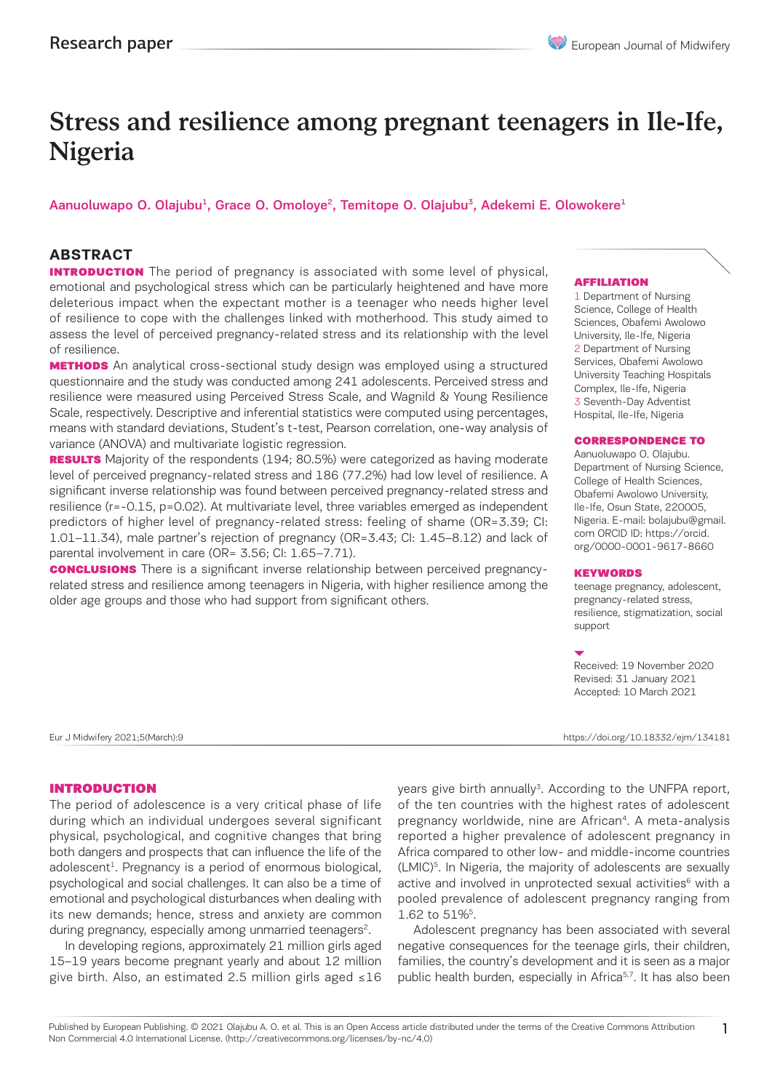# Stress and resilience among pregnant teenagers in Ile-Ife, Nigeria

# Aanuoluwapo O. Olajubu<sup>1</sup>, Grace O. Omoloye<sup>2</sup>, Temitope O. Olajubu<sup>3</sup>, Adekemi E. Olowokere<sup>1</sup>

### **ABSTRACT**

**INTRODUCTION** The period of pregnancy is associated with some level of physical, emotional and psychological stress which can be particularly heightened and have more deleterious impact when the expectant mother is a teenager who needs higher level of resilience to cope with the challenges linked with motherhood. This study aimed to assess the level of perceived pregnancy-related stress and its relationship with the level of resilience.

**METHODS** An analytical cross-sectional study design was employed using a structured questionnaire and the study was conducted among 241 adolescents. Perceived stress and resilience were measured using Perceived Stress Scale, and Wagnild & Young Resilience Scale, respectively. Descriptive and inferential statistics were computed using percentages, means with standard deviations, Student's t-test, Pearson correlation, one-way analysis of variance (ANOVA) and multivariate logistic regression.

RESULTS Majority of the respondents (194; 80.5%) were categorized as having moderate level of perceived pregnancy-related stress and 186 (77.2%) had low level of resilience. A significant inverse relationship was found between perceived pregnancy-related stress and resilience (r=-0.15, p=0.02). At multivariate level, three variables emerged as independent predictors of higher level of pregnancy-related stress: feeling of shame (OR=3.39; CI: 1.01–11.34), male partner's rejection of pregnancy (OR=3.43; CI: 1.45–8.12) and lack of parental involvement in care (OR= 3.56; CI: 1.65–7.71).

**CONCLUSIONS** There is a significant inverse relationship between perceived pregnancyrelated stress and resilience among teenagers in Nigeria, with higher resilience among the older age groups and those who had support from significant others.

#### AFFILIATION

1 Department of Nursing Science, College of Health Sciences, Obafemi Awolowo University, Ile-Ife, Nigeria 2 Department of Nursing Services, Obafemi Awolowo University Teaching Hospitals Complex, Ile-Ife, Nigeria 3 Seventh-Day Adventist Hospital, Ile-Ife, Nigeria

#### CORRESPONDENCE TO

Aanuoluwapo O. Olajubu. Department of Nursing Science, College of Health Sciences, Obafemi Awolowo University, Ile-Ife, Osun State, 220005, Nigeria. E-mail: bolajubu@gmail. com ORCID ID: https://orcid. org/0000-0001-9617-8660

#### KEYWORDS

teenage pregnancy, adolescent, pregnancy-related stress, resilience, stigmatization, social support

Received: 19 November 2020 Revised: 31 January 2021 Accepted: 10 March 2021

Eur J Midwifery 2021;5(March):9 https://doi.org/10.18332/ejm/134181

#### INTRODUCTION

The period of adolescence is a very critical phase of life during which an individual undergoes several significant physical, psychological, and cognitive changes that bring both dangers and prospects that can influence the life of the adolescent $<sup>1</sup>$ . Pregnancy is a period of enormous biological,</sup> psychological and social challenges. It can also be a time of emotional and psychological disturbances when dealing with its new demands; hence, stress and anxiety are common during pregnancy, especially among unmarried teenagers<sup>2</sup>.

In developing regions, approximately 21 million girls aged 15–19 years become pregnant yearly and about 12 million give birth. Also, an estimated 2.5 million girls aged ≤16

years give birth annually<sup>3</sup>. According to the UNFPA report, of the ten countries with the highest rates of adolescent pregnancy worldwide, nine are African<sup>4</sup>. A meta-analysis reported a higher prevalence of adolescent pregnancy in Africa compared to other low- and middle-income countries (LMIC)<sup>5</sup>. In Nigeria, the majority of adolescents are sexually active and involved in unprotected sexual activities<sup>6</sup> with a pooled prevalence of adolescent pregnancy ranging from 1.62 to 51%<sup>5</sup>.

Adolescent pregnancy has been associated with several negative consequences for the teenage girls, their children, families, the country's development and it is seen as a major public health burden, especially in Africa<sup>5,7</sup>. It has also been

Published by European Publishing. © 2021 Olajubu A. O. et al. This is an Open Access article distributed under the terms of the Creative Commons Attribution Non Commercial 4.0 International License. (http://creativecommons.org/licenses/by-nc/4.0)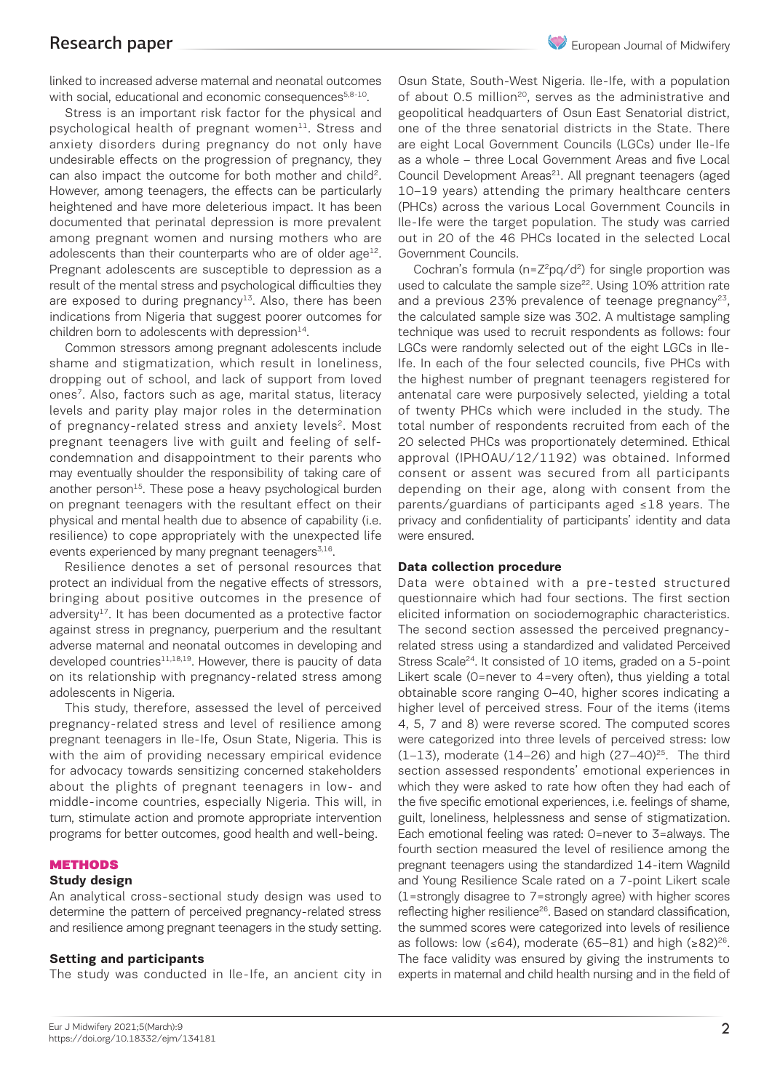linked to increased adverse maternal and neonatal outcomes with social, educational and economic consequences<sup>5,8-10</sup>.

Stress is an important risk factor for the physical and psychological health of pregnant women $11$ . Stress and anxiety disorders during pregnancy do not only have undesirable effects on the progression of pregnancy, they can also impact the outcome for both mother and child<sup>2</sup>. However, among teenagers, the effects can be particularly heightened and have more deleterious impact. It has been documented that perinatal depression is more prevalent among pregnant women and nursing mothers who are adolescents than their counterparts who are of older age $^{12}$ . Pregnant adolescents are susceptible to depression as a result of the mental stress and psychological difficulties they are exposed to during pregnancy $13$ . Also, there has been indications from Nigeria that suggest poorer outcomes for children born to adolescents with depression $^{14}$ .

Common stressors among pregnant adolescents include shame and stigmatization, which result in loneliness, dropping out of school, and lack of support from loved ones<sup>7</sup>. Also, factors such as age, marital status, literacy levels and parity play major roles in the determination of pregnancy-related stress and anxiety levels<sup>2</sup>. Most pregnant teenagers live with guilt and feeling of selfcondemnation and disappointment to their parents who may eventually shoulder the responsibility of taking care of another person $15$ . These pose a heavy psychological burden on pregnant teenagers with the resultant effect on their physical and mental health due to absence of capability (i.e. resilience) to cope appropriately with the unexpected life events experienced by many pregnant teenagers<sup>3,16</sup>.

Resilience denotes a set of personal resources that protect an individual from the negative effects of stressors, bringing about positive outcomes in the presence of adversity $17$ . It has been documented as a protective factor against stress in pregnancy, puerperium and the resultant adverse maternal and neonatal outcomes in developing and developed countries $11,18,19$ . However, there is paucity of data on its relationship with pregnancy-related stress among adolescents in Nigeria.

This study, therefore, assessed the level of perceived pregnancy-related stress and level of resilience among pregnant teenagers in Ile-Ife, Osun State, Nigeria. This is with the aim of providing necessary empirical evidence for advocacy towards sensitizing concerned stakeholders about the plights of pregnant teenagers in low- and middle-income countries, especially Nigeria. This will, in turn, stimulate action and promote appropriate intervention programs for better outcomes, good health and well-being.

#### METHODS

### **Study design**

An analytical cross-sectional study design was used to determine the pattern of perceived pregnancy-related stress and resilience among pregnant teenagers in the study setting.

### **Setting and participants**

The study was conducted in Ile-Ife, an ancient city in

Osun State, South-West Nigeria. Ile-Ife, with a population of about 0.5 million<sup>20</sup>, serves as the administrative and geopolitical headquarters of Osun East Senatorial district, one of the three senatorial districts in the State. There are eight Local Government Councils (LGCs) under Ile-Ife as a whole – three Local Government Areas and five Local Council Development Areas<sup>21</sup>. All pregnant teenagers (aged 10–19 years) attending the primary healthcare centers (PHCs) across the various Local Government Councils in Ile-Ife were the target population. The study was carried out in 20 of the 46 PHCs located in the selected Local Government Councils.

Cochran's formula ( $n=Z^2pq/d^2$ ) for single proportion was used to calculate the sample size<sup>22</sup>. Using 10% attrition rate and a previous 23% prevalence of teenage pregnancy<sup>23</sup>, the calculated sample size was 302. A multistage sampling technique was used to recruit respondents as follows: four LGCs were randomly selected out of the eight LGCs in Ile-Ife. In each of the four selected councils, five PHCs with the highest number of pregnant teenagers registered for antenatal care were purposively selected, yielding a total of twenty PHCs which were included in the study. The total number of respondents recruited from each of the 20 selected PHCs was proportionately determined. Ethical approval (IPHOAU/12/1192) was obtained. Informed consent or assent was secured from all participants depending on their age, along with consent from the parents/guardians of participants aged ≤18 years. The privacy and confidentiality of participants' identity and data were ensured.

### **Data collection procedure**

Data were obtained with a pre-tested structured questionnaire which had four sections. The first section elicited information on sociodemographic characteristics. The second section assessed the perceived pregnancyrelated stress using a standardized and validated Perceived Stress Scale<sup>24</sup>. It consisted of 10 items, graded on a 5-point Likert scale (0=never to 4=very often), thus yielding a total obtainable score ranging 0–40, higher scores indicating a higher level of perceived stress. Four of the items (items 4, 5, 7 and 8) were reverse scored. The computed scores were categorized into three levels of perceived stress: low  $(1-13)$ , moderate  $(14-26)$  and high  $(27-40)^{25}$ . The third section assessed respondents' emotional experiences in which they were asked to rate how often they had each of the five specific emotional experiences, i.e. feelings of shame, guilt, loneliness, helplessness and sense of stigmatization. Each emotional feeling was rated: 0=never to 3=always. The fourth section measured the level of resilience among the pregnant teenagers using the standardized 14-item Wagnild and Young Resilience Scale rated on a 7-point Likert scale (1=strongly disagree to 7=strongly agree) with higher scores reflecting higher resilience<sup>26</sup>. Based on standard classification, the summed scores were categorized into levels of resilience as follows: low (≤64), moderate (65–81) and high (≥82)<sup>26</sup>. The face validity was ensured by giving the instruments to experts in maternal and child health nursing and in the field of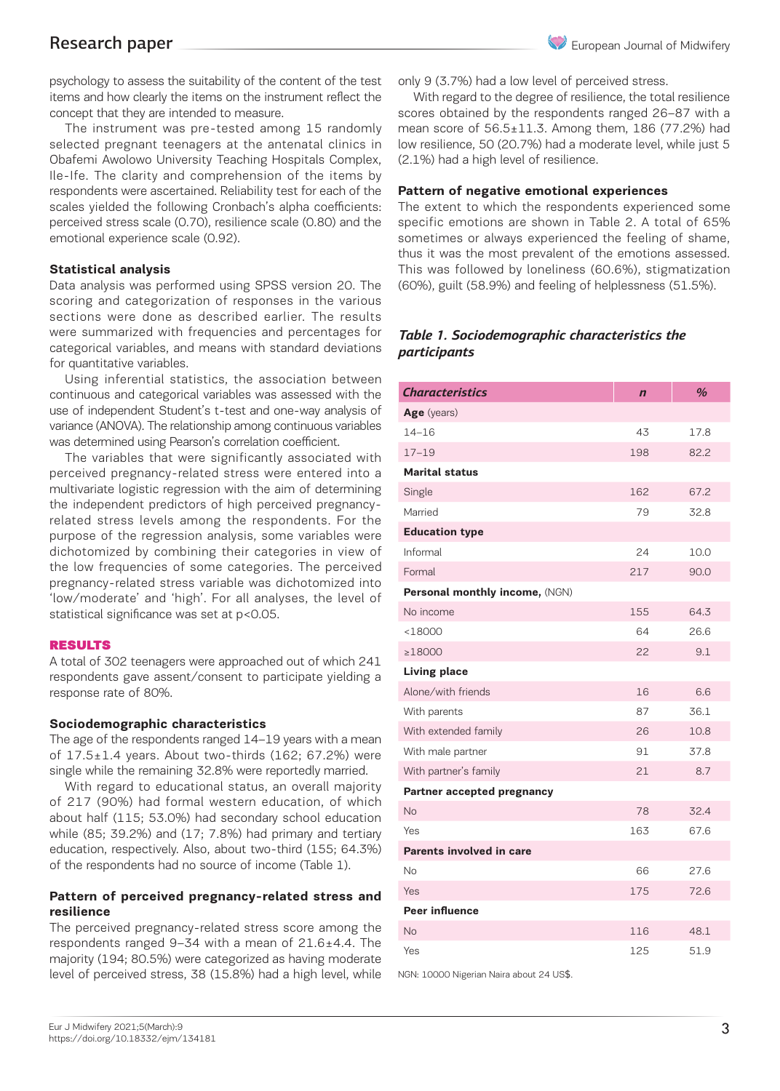psychology to assess the suitability of the content of the test items and how clearly the items on the instrument reflect the concept that they are intended to measure.

The instrument was pre-tested among 15 randomly selected pregnant teenagers at the antenatal clinics in Obafemi Awolowo University Teaching Hospitals Complex, Ile-Ife. The clarity and comprehension of the items by respondents were ascertained. Reliability test for each of the scales yielded the following Cronbach's alpha coefficients: perceived stress scale (0.70), resilience scale (0.80) and the emotional experience scale (0.92).

### **Statistical analysis**

Data analysis was performed using SPSS version 20. The scoring and categorization of responses in the various sections were done as described earlier. The results were summarized with frequencies and percentages for categorical variables, and means with standard deviations for quantitative variables.

Using inferential statistics, the association between continuous and categorical variables was assessed with the use of independent Student's t-test and one-way analysis of variance (ANOVA). The relationship among continuous variables was determined using Pearson's correlation coefficient.

The variables that were significantly associated with perceived pregnancy-related stress were entered into a multivariate logistic regression with the aim of determining the independent predictors of high perceived pregnancyrelated stress levels among the respondents. For the purpose of the regression analysis, some variables were dichotomized by combining their categories in view of the low frequencies of some categories. The perceived pregnancy-related stress variable was dichotomized into 'low/moderate' and 'high'. For all analyses, the level of statistical significance was set at p<0.05.

### RESULTS

A total of 302 teenagers were approached out of which 241 respondents gave assent/consent to participate yielding a response rate of 80%.

#### **Sociodemographic characteristics**

The age of the respondents ranged 14–19 years with a mean of  $17.5 \pm 1.4$  years. About two-thirds (162; 67.2%) were single while the remaining 32.8% were reportedly married.

With regard to educational status, an overall majority of 217 (90%) had formal western education, of which about half (115; 53.0%) had secondary school education while (85; 39.2%) and (17; 7.8%) had primary and tertiary education, respectively. Also, about two-third (155; 64.3%) of the respondents had no source of income (Table 1).

### **Pattern of perceived pregnancy-related stress and resilience**

The perceived pregnancy-related stress score among the respondents ranged 9–34 with a mean of 21.6±4.4. The majority (194; 80.5%) were categorized as having moderate level of perceived stress, 38 (15.8%) had a high level, while only 9 (3.7%) had a low level of perceived stress.

With regard to the degree of resilience, the total resilience scores obtained by the respondents ranged 26–87 with a mean score of 56.5±11.3. Among them, 186 (77.2%) had low resilience, 50 (20.7%) had a moderate level, while just 5 (2.1%) had a high level of resilience.

### **Pattern of negative emotional experiences**

The extent to which the respondents experienced some specific emotions are shown in Table 2. A total of 65% sometimes or always experienced the feeling of shame, thus it was the most prevalent of the emotions assessed. This was followed by loneliness (60.6%), stigmatization (60%), guilt (58.9%) and feeling of helplessness (51.5%).

### *Table 1. Sociodemographic characteristics the participants*

| <b>Characteristics</b>         | $\mathbf n$ | $\frac{a}{b}$ |
|--------------------------------|-------------|---------------|
| Age (years)                    |             |               |
| $14 - 16$                      | 43          | 17.8          |
| $17 - 19$                      | 198         | 82.2          |
| <b>Marital status</b>          |             |               |
| Single                         | 162         | 67.2          |
| Married                        | 79          | 32.8          |
| <b>Education type</b>          |             |               |
| Informal                       | 24          | 10.0          |
| Formal                         | 217         | 90.0          |
| Personal monthly income, (NGN) |             |               |
| No income                      | 155         | 64.3          |
| < 18000                        | 64          | 26.6          |
| ≥18000                         | 22          | 9.1           |
| <b>Living place</b>            |             |               |
| Alone/with friends             | 16          | 6.6           |
| With parents                   | 87          | 36.1          |
| With extended family           | 26          | 10.8          |
| With male partner              | 91          | 37.8          |
| With partner's family          | 21          | 8.7           |
| Partner accepted pregnancy     |             |               |
| <b>No</b>                      | 78          | 32.4          |
| Yes                            | 163         | 67.6          |
| Parents involved in care       |             |               |
| No                             | 66          | 27.6          |
| Yes                            | 175         | 72.6          |
| <b>Peer influence</b>          |             |               |
| No                             | 116         | 48.1          |
| Yes                            | 125         | 51.9          |

NGN: 10000 Nigerian Naira about 24 US\$.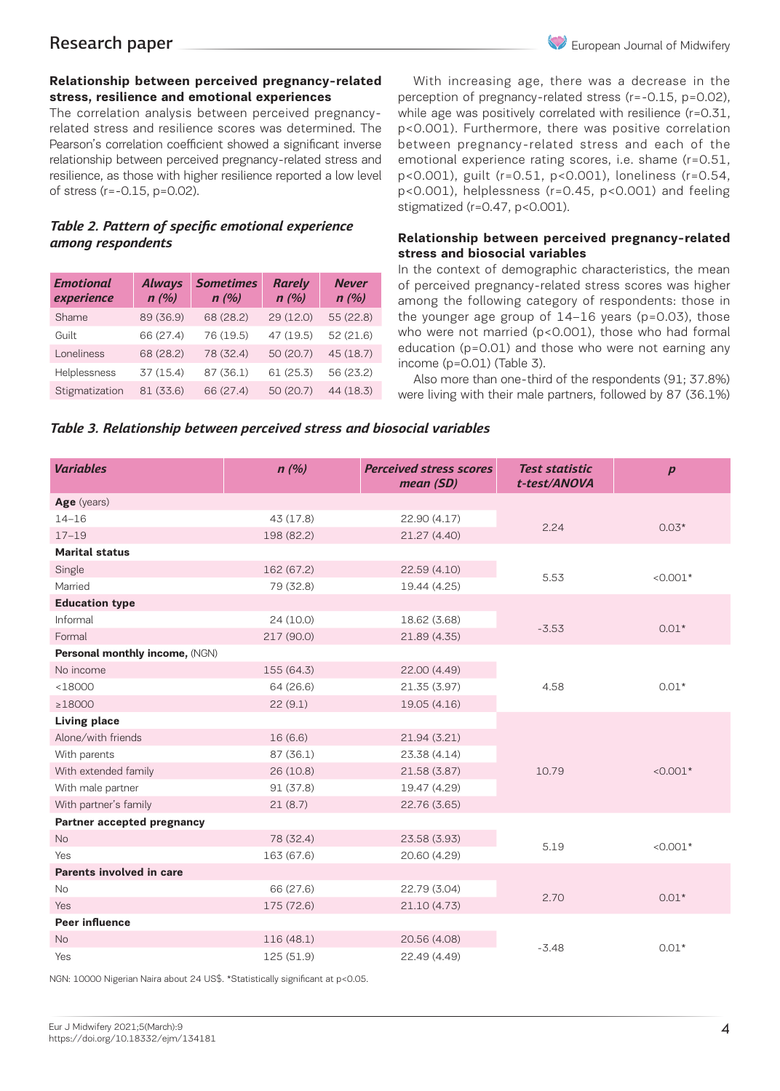## **Relationship between perceived pregnancy-related stress, resilience and emotional experiences**

The correlation analysis between perceived pregnancyrelated stress and resilience scores was determined. The Pearson's correlation coefficient showed a significant inverse relationship between perceived pregnancy-related stress and resilience, as those with higher resilience reported a low level of stress (r=-0.15, p=0.02).

# *Table 2. Pattern of specific emotional experience among respondents*

| <b>Emotional</b><br>experience | <b>Always</b><br>n(%) | <b>Sometimes</b><br>n(%) | <b>Rarely</b><br>n(%) | <b>Never</b><br>n(%) |
|--------------------------------|-----------------------|--------------------------|-----------------------|----------------------|
| Shame                          | 89 (36.9)             | 68 (28.2)                | 29 (12.0)             | 55 (22.8)            |
| Guilt                          | 66 (27.4)             | 76 (19.5)                | 47 (19.5)             | 52 (21.6)            |
| Loneliness                     | 68 (28.2)             | 78 (32.4)                | 50 (20.7)             | 45 (18.7)            |
| Helplessness                   | 37 (15.4)             | 87 (36.1)                | 61 (25.3)             | 56 (23.2)            |
| Stigmatization                 | 81 (33.6)             | 66 (27.4)                | 50 (20.7)             | 44 (18.3)            |

With increasing age, there was a decrease in the perception of pregnancy-related stress (r=-0.15, p=0.02), while age was positively correlated with resilience (r=0.31, p<0.001). Furthermore, there was positive correlation between pregnancy-related stress and each of the emotional experience rating scores, i.e. shame (r=0.51, p<0.001), guilt (r=0.51, p<0.001), loneliness (r=0.54, p<0.001), helplessness (r=0.45, p<0.001) and feeling stigmatized (r=0.47, p<0.001).

# **Relationship between perceived pregnancy-related stress and biosocial variables**

In the context of demographic characteristics, the mean of perceived pregnancy-related stress scores was higher among the following category of respondents: those in the younger age group of 14–16 years (p=0.03), those who were not married (p<0.001), those who had formal education (p=0.01) and those who were not earning any income (p=0.01) (Table 3).

Also more than one-third of the respondents (91; 37.8%) were living with their male partners, followed by 87 (36.1%)

# *Table 3. Relationship between perceived stress and biosocial variables*

| <b>Variables</b>               | n(%)       | <b>Perceived stress scores</b><br>mean(SD) | <b>Test statistic</b><br>t-test/ANOVA | $\boldsymbol{p}$ |
|--------------------------------|------------|--------------------------------------------|---------------------------------------|------------------|
| Age (years)                    |            |                                            |                                       |                  |
| $14 - 16$                      | 43 (17.8)  | 22.90 (4.17)                               | 2.24                                  | $0.03*$          |
| $17 - 19$                      | 198 (82.2) | 21.27 (4.40)                               |                                       |                  |
| <b>Marital status</b>          |            |                                            |                                       |                  |
| Single                         | 162 (67.2) | 22.59 (4.10)                               | 5.53                                  | $< 0.001*$       |
| Married                        | 79 (32.8)  | 19.44 (4.25)                               |                                       |                  |
| <b>Education type</b>          |            |                                            |                                       |                  |
| Informal                       | 24(10.0)   | 18.62 (3.68)                               | $-3.53$                               | $0.01*$          |
| Formal                         | 217 (90.0) | 21.89 (4.35)                               |                                       |                  |
| Personal monthly income, (NGN) |            |                                            |                                       |                  |
| No income                      | 155 (64.3) | 22.00 (4.49)                               |                                       | $0.01*$          |
| < 18000                        | 64 (26.6)  | 21.35 (3.97)                               | 4.58                                  |                  |
| $\geq 18000$                   | 22(9.1)    | 19.05 (4.16)                               |                                       |                  |
| <b>Living place</b>            |            |                                            |                                       |                  |
| Alone/with friends             | 16(6.6)    | 21.94(3.21)                                |                                       | $< 0.001*$       |
| With parents                   | 87(36.1)   | 23.38 (4.14)                               |                                       |                  |
| With extended family           | 26 (10.8)  | 21.58 (3.87)                               | 10.79                                 |                  |
| With male partner              | 91 (37.8)  | 19.47 (4.29)                               |                                       |                  |
| With partner's family          | 21(8.7)    | 22.76 (3.65)                               |                                       |                  |
| Partner accepted pregnancy     |            |                                            |                                       |                  |
| <b>No</b>                      | 78 (32.4)  | 23.58 (3.93)                               | 5.19                                  | $< 0.001*$       |
| Yes                            | 163 (67.6) | 20.60 (4.29)                               |                                       |                  |
| Parents involved in care       |            |                                            |                                       |                  |
| No                             | 66 (27.6)  | 22.79 (3.04)                               |                                       | $0.01*$          |
| Yes                            | 175 (72.6) | 21.10(4.73)                                | 2.70                                  |                  |
| <b>Peer influence</b>          |            |                                            |                                       |                  |
| <b>No</b>                      | 116 (48.1) | 20.56 (4.08)                               |                                       | $0.01*$          |
| Yes                            | 125 (51.9) | 22.49 (4.49)                               | $-3.48$                               |                  |

NGN: 10000 Nigerian Naira about 24 US\$. \*Statistically significant at p<0.05.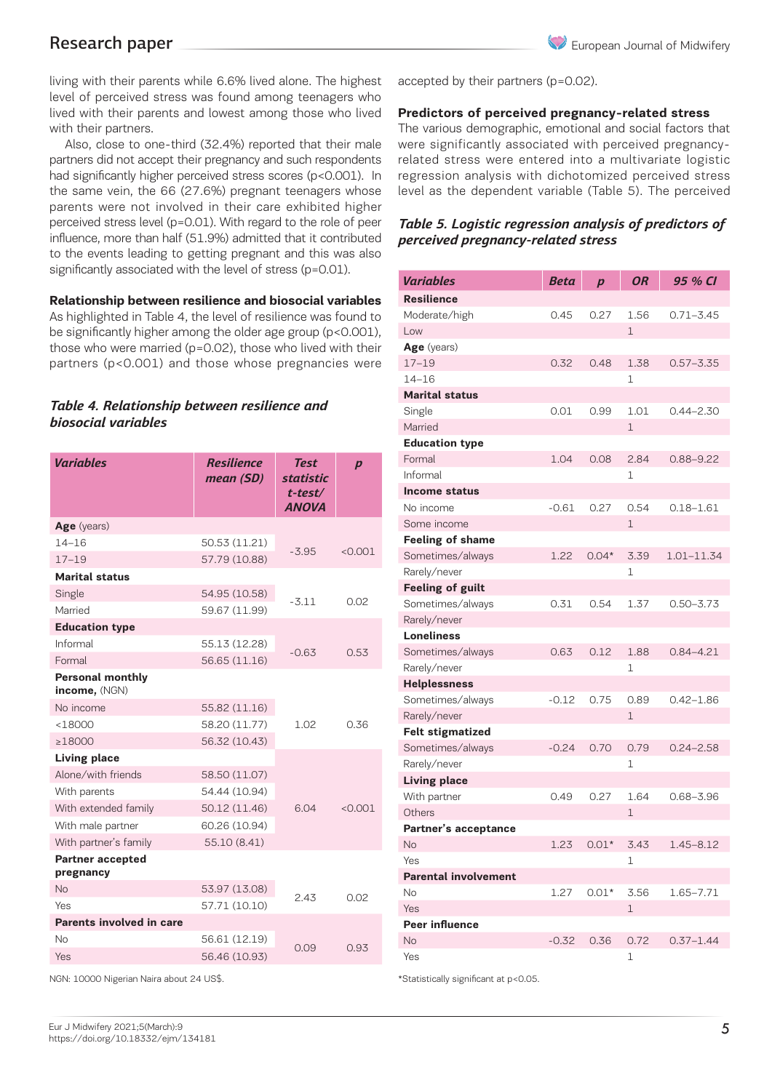living with their parents while 6.6% lived alone. The highest level of perceived stress was found among teenagers who lived with their parents and lowest among those who lived with their partners.

Also, close to one-third (32.4%) reported that their male partners did not accept their pregnancy and such respondents had significantly higher perceived stress scores (p<0.001). In the same vein, the 66 (27.6%) pregnant teenagers whose parents were not involved in their care exhibited higher perceived stress level (p=0.01). With regard to the role of peer influence, more than half (51.9%) admitted that it contributed to the events leading to getting pregnant and this was also significantly associated with the level of stress (p=0.01).

### **Relationship between resilience and biosocial variables**

As highlighted in Table 4, the level of resilience was found to be significantly higher among the older age group (p<0.001), those who were married (p=0.02), those who lived with their partners (p<0.001) and those whose pregnancies were

# *Table 4. Relationship between resilience and biosocial variables*

| <b>Variables</b>                         | <b>Resilience</b><br>mean (SD) | <b>Test</b><br><b>statistic</b><br>t-test/<br><b>ANOVA</b> | $\boldsymbol{p}$ |  |
|------------------------------------------|--------------------------------|------------------------------------------------------------|------------------|--|
| Age (years)                              |                                |                                                            |                  |  |
| $14 - 16$                                | 50.53 (11.21)                  |                                                            |                  |  |
| $17 - 19$                                | 57.79 (10.88)                  | $-3.95$                                                    | < 0.001          |  |
| <b>Marital status</b>                    |                                |                                                            |                  |  |
| Single                                   | 54.95 (10.58)                  | $-3.11$                                                    |                  |  |
| Married                                  | 59.67 (11.99)                  |                                                            | 0.02             |  |
| <b>Education type</b>                    |                                |                                                            |                  |  |
| Informal                                 | 55.13 (12.28)                  |                                                            | 0.53             |  |
| Formal                                   | 56.65 (11.16)                  | $-0.63$                                                    |                  |  |
| <b>Personal monthly</b><br>income, (NGN) |                                |                                                            |                  |  |
| No income                                | 55.82 (11.16)                  |                                                            |                  |  |
| < 18000                                  | 58.20 (11.77)                  | 1.02                                                       | 0.36             |  |
| $\geq 18000$                             | 56.32 (10.43)                  |                                                            |                  |  |
| <b>Living place</b>                      |                                |                                                            |                  |  |
| Alone/with friends                       | 58.50 (11.07)                  |                                                            |                  |  |
| With parents                             | 54.44 (10.94)                  |                                                            |                  |  |
| With extended family                     | 50.12 (11.46)                  | 6.04                                                       | < 0.001          |  |
| With male partner                        | 60.26 (10.94)                  |                                                            |                  |  |
| With partner's family                    | 55.10 (8.41)                   |                                                            |                  |  |
| <b>Partner accepted</b><br>pregnancy     |                                |                                                            |                  |  |
| <b>No</b>                                | 53.97 (13.08)                  | 243                                                        | 0.02             |  |
| Yes                                      | 57.71 (10.10)                  |                                                            |                  |  |
| Parents involved in care                 |                                |                                                            |                  |  |
| No                                       | 56.61 (12.19)                  |                                                            |                  |  |
| Yes                                      | 56.46 (10.93)                  | 0.09                                                       | 0.93             |  |

NGN: 10000 Nigerian Naira about 24 US\$.

accepted by their partners (p=0.02).

### **Predictors of perceived pregnancy-related stress**

The various demographic, emotional and social factors that were significantly associated with perceived pregnancyrelated stress were entered into a multivariate logistic regression analysis with dichotomized perceived stress level as the dependent variable (Table 5). The perceived

# *Table 5. Logistic regression analysis of predictors of perceived pregnancy-related stress*

| Variables                   | Beta    | $\boldsymbol{p}$ | <b>OR</b>    | 95 % CI       |
|-----------------------------|---------|------------------|--------------|---------------|
| <b>Resilience</b>           |         |                  |              |               |
| Moderate/high               | 0.45    | 0.27             | 1.56         | $0.71 - 3.45$ |
| Low                         |         |                  | 1            |               |
| Age (years)                 |         |                  |              |               |
| $17 - 19$                   | 0.32    | 0.48             | 1.38         | $0.57 - 3.35$ |
| $14 - 16$                   |         |                  | 1            |               |
| <b>Marital status</b>       |         |                  |              |               |
| Single                      | 0.01    | 0.99             | 1.01         | 0.44–2.30     |
| Married                     |         |                  | $\mathbf{1}$ |               |
| <b>Education type</b>       |         |                  |              |               |
| Formal                      | 1.04    | 0.08             | 2.84         | $0.88 - 9.22$ |
| Informal                    |         |                  | $\mathbf{1}$ |               |
| <b>Income status</b>        |         |                  |              |               |
| No income                   | $-0.61$ | 0.27             | 0.54         | $0.18 - 1.61$ |
| Some income                 |         |                  | $\mathbf{1}$ |               |
| <b>Feeling of shame</b>     |         |                  |              |               |
| Sometimes/always            | 1.22    | $0.04*$          | 3.39         | 1.01-11.34    |
| Rarely/never                |         |                  | $\mathbf 1$  |               |
| <b>Feeling of guilt</b>     |         |                  |              |               |
| Sometimes/always            | 0.31    | 0.54             | 1.37         | $0.50 - 3.73$ |
| Rarely/never                |         |                  |              |               |
| <b>Loneliness</b>           |         |                  |              |               |
| Sometimes/always            | 0.63    | 0.12             | 1.88         | $0.84 - 4.21$ |
| Rarely/never                |         |                  | $\mathbf 1$  |               |
| <b>Helplessness</b>         |         |                  |              |               |
| Sometimes/always            | $-0.12$ | 0.75             | 0.89         | $0.42 - 1.86$ |
| Rarely/never                |         |                  | $\mathbf 1$  |               |
| <b>Felt stigmatized</b>     |         |                  |              |               |
| Sometimes/always            | $-0.24$ | 0.70             | 0.79         | $0.24 - 2.58$ |
| Rarely/never                |         |                  | 1            |               |
| <b>Living place</b>         |         |                  |              |               |
| With partner                | 0.49    | 0.27             | 1.64         | $0.68 - 3.96$ |
| Others                      |         |                  | $\mathbf{1}$ |               |
| Partner's acceptance        |         |                  |              |               |
| <b>No</b>                   | 1.23    | $0.01*$          | 3.43         | $1.45 - 8.12$ |
| Yes                         |         |                  | $\mathbf 1$  |               |
| <b>Parental involvement</b> |         |                  |              |               |
| No                          | 1.27    | $0.01*$          | 3.56         | 1.65-7.71     |
| Yes                         |         |                  | $\mathbf{1}$ |               |
| <b>Peer influence</b>       |         |                  |              |               |
| <b>No</b>                   | $-0.32$ | 0.36             | 0.72         | $0.37 - 1.44$ |
| Yes                         |         |                  | $\mathbf 1$  |               |

\*Statistically significant at p<0.05.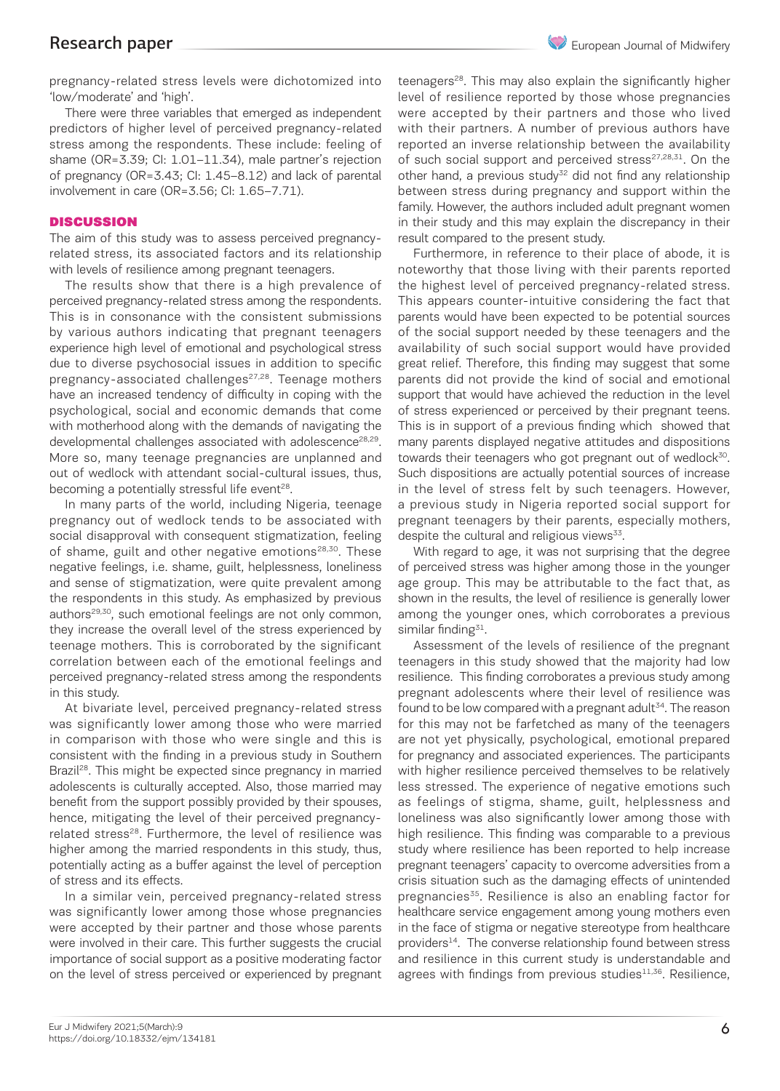pregnancy-related stress levels were dichotomized into 'low/moderate' and 'high'.

There were three variables that emerged as independent predictors of higher level of perceived pregnancy-related stress among the respondents. These include: feeling of shame (OR=3.39; CI: 1.01–11.34), male partner's rejection of pregnancy (OR=3.43; CI: 1.45–8.12) and lack of parental involvement in care (OR=3.56; CI: 1.65–7.71).

### **DISCUSSION**

The aim of this study was to assess perceived pregnancyrelated stress, its associated factors and its relationship with levels of resilience among pregnant teenagers.

The results show that there is a high prevalence of perceived pregnancy-related stress among the respondents. This is in consonance with the consistent submissions by various authors indicating that pregnant teenagers experience high level of emotional and psychological stress due to diverse psychosocial issues in addition to specific pregnancy-associated challenges<sup>27,28</sup>. Teenage mothers have an increased tendency of difficulty in coping with the psychological, social and economic demands that come with motherhood along with the demands of navigating the developmental challenges associated with adolescence<sup>28,29</sup>. More so, many teenage pregnancies are unplanned and out of wedlock with attendant social-cultural issues, thus, becoming a potentially stressful life event<sup>28</sup>.

In many parts of the world, including Nigeria, teenage pregnancy out of wedlock tends to be associated with social disapproval with consequent stigmatization, feeling of shame, guilt and other negative emotions<sup>28,30</sup>. These negative feelings, i.e. shame, guilt, helplessness, loneliness and sense of stigmatization, were quite prevalent among the respondents in this study. As emphasized by previous authors<sup>29,30</sup>, such emotional feelings are not only common, they increase the overall level of the stress experienced by teenage mothers. This is corroborated by the significant correlation between each of the emotional feelings and perceived pregnancy-related stress among the respondents in this study.

At bivariate level, perceived pregnancy-related stress was significantly lower among those who were married in comparison with those who were single and this is consistent with the finding in a previous study in Southern Brazil<sup>28</sup>. This might be expected since pregnancy in married adolescents is culturally accepted. Also, those married may benefit from the support possibly provided by their spouses, hence, mitigating the level of their perceived pregnancyrelated stress<sup>28</sup>. Furthermore, the level of resilience was higher among the married respondents in this study, thus, potentially acting as a buffer against the level of perception of stress and its effects.

In a similar vein, perceived pregnancy-related stress was significantly lower among those whose pregnancies were accepted by their partner and those whose parents were involved in their care. This further suggests the crucial importance of social support as a positive moderating factor on the level of stress perceived or experienced by pregnant teenagers<sup>28</sup>. This may also explain the significantly higher level of resilience reported by those whose pregnancies were accepted by their partners and those who lived with their partners. A number of previous authors have reported an inverse relationship between the availability of such social support and perceived stress $27,28,31$ . On the other hand, a previous study<sup>32</sup> did not find any relationship between stress during pregnancy and support within the family. However, the authors included adult pregnant women in their study and this may explain the discrepancy in their result compared to the present study.

Furthermore, in reference to their place of abode, it is noteworthy that those living with their parents reported the highest level of perceived pregnancy-related stress. This appears counter-intuitive considering the fact that parents would have been expected to be potential sources of the social support needed by these teenagers and the availability of such social support would have provided great relief. Therefore, this finding may suggest that some parents did not provide the kind of social and emotional support that would have achieved the reduction in the level of stress experienced or perceived by their pregnant teens. This is in support of a previous finding which showed that many parents displayed negative attitudes and dispositions towards their teenagers who got pregnant out of wedlock $30$ . Such dispositions are actually potential sources of increase in the level of stress felt by such teenagers. However, a previous study in Nigeria reported social support for pregnant teenagers by their parents, especially mothers, despite the cultural and religious views $33$ .

With regard to age, it was not surprising that the degree of perceived stress was higher among those in the younger age group. This may be attributable to the fact that, as shown in the results, the level of resilience is generally lower among the younger ones, which corroborates a previous similar finding $31$ .

Assessment of the levels of resilience of the pregnant teenagers in this study showed that the majority had low resilience. This finding corroborates a previous study among pregnant adolescents where their level of resilience was found to be low compared with a pregnant adult<sup>34</sup>. The reason for this may not be farfetched as many of the teenagers are not yet physically, psychological, emotional prepared for pregnancy and associated experiences. The participants with higher resilience perceived themselves to be relatively less stressed. The experience of negative emotions such as feelings of stigma, shame, guilt, helplessness and loneliness was also significantly lower among those with high resilience. This finding was comparable to a previous study where resilience has been reported to help increase pregnant teenagers' capacity to overcome adversities from a crisis situation such as the damaging effects of unintended pregnancies<sup>35</sup>. Resilience is also an enabling factor for healthcare service engagement among young mothers even in the face of stigma or negative stereotype from healthcare providers<sup>14</sup>. The converse relationship found between stress and resilience in this current study is understandable and agrees with findings from previous studies $11,36$ . Resilience,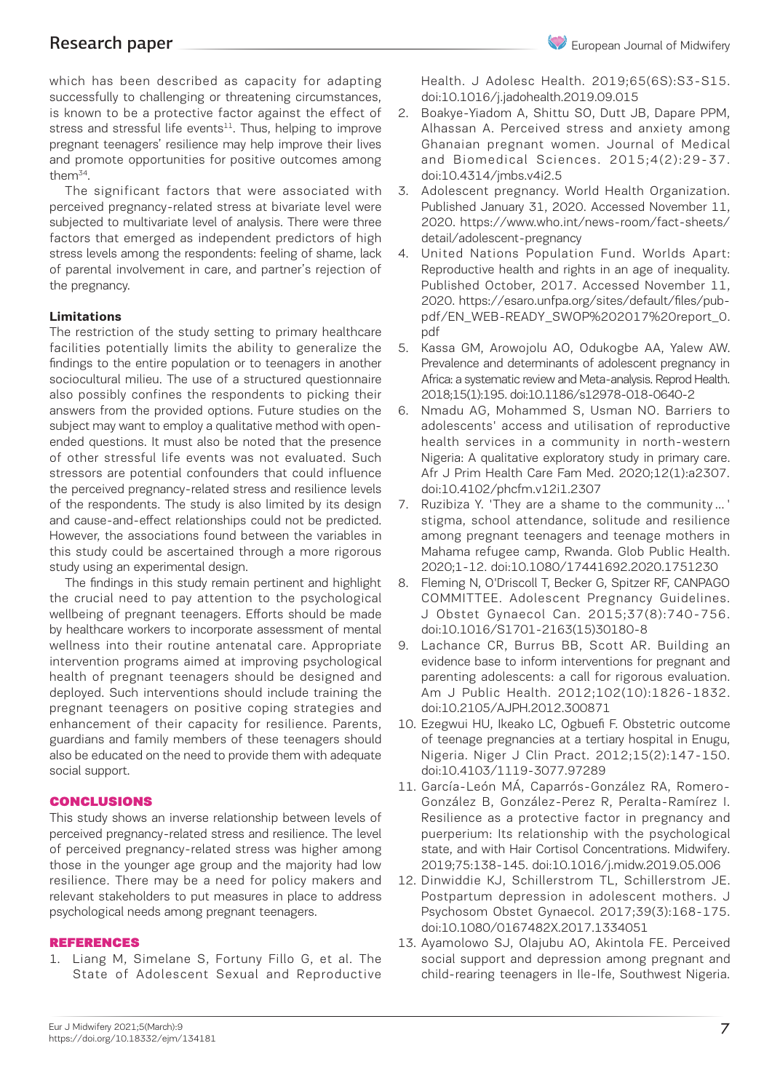which has been described as capacity for adapting successfully to challenging or threatening circumstances, is known to be a protective factor against the effect of stress and stressful life events $11$ . Thus, helping to improve pregnant teenagers' resilience may help improve their lives and promote opportunities for positive outcomes among them<sup>34</sup>.

The significant factors that were associated with perceived pregnancy-related stress at bivariate level were subjected to multivariate level of analysis. There were three factors that emerged as independent predictors of high stress levels among the respondents: feeling of shame, lack of parental involvement in care, and partner's rejection of the pregnancy.

### **Limitations**

The restriction of the study setting to primary healthcare facilities potentially limits the ability to generalize the findings to the entire population or to teenagers in another sociocultural milieu. The use of a structured questionnaire also possibly confines the respondents to picking their answers from the provided options. Future studies on the subject may want to employ a qualitative method with openended questions. It must also be noted that the presence of other stressful life events was not evaluated. Such stressors are potential confounders that could influence the perceived pregnancy-related stress and resilience levels of the respondents. The study is also limited by its design and cause-and-effect relationships could not be predicted. However, the associations found between the variables in this study could be ascertained through a more rigorous study using an experimental design.

The findings in this study remain pertinent and highlight the crucial need to pay attention to the psychological wellbeing of pregnant teenagers. Efforts should be made by healthcare workers to incorporate assessment of mental wellness into their routine antenatal care. Appropriate intervention programs aimed at improving psychological health of pregnant teenagers should be designed and deployed. Such interventions should include training the pregnant teenagers on positive coping strategies and enhancement of their capacity for resilience. Parents, guardians and family members of these teenagers should also be educated on the need to provide them with adequate social support.

### CONCLUSIONS

This study shows an inverse relationship between levels of perceived pregnancy-related stress and resilience. The level of perceived pregnancy-related stress was higher among those in the younger age group and the majority had low resilience. There may be a need for policy makers and relevant stakeholders to put measures in place to address psychological needs among pregnant teenagers.

### REFERENCES

1. Liang M, Simelane S, Fortuny Fillo G, et al. The State of Adolescent Sexual and Reproductive Health. J Adolesc Health. 2019;65(6S):S3-S15. doi:10.1016/j.jadohealth.2019.09.015

- 2. Boakye-Yiadom A, Shittu SO, Dutt JB, Dapare PPM, Alhassan A. Perceived stress and anxiety among Ghanaian pregnant women. Journal of Medical and Biomedical Sciences. 2015;4(2):29-37. doi:10.4314/jmbs.v4i2.5
- 3. Adolescent pregnancy. World Health Organization. Published January 31, 2020. Accessed November 11, 2020. https://www.who.int/news-room/fact-sheets/ detail/adolescent-pregnancy
- 4. United Nations Population Fund. Worlds Apart: Reproductive health and rights in an age of inequality. Published October, 2017. Accessed November 11, 2020. https://esaro.unfpa.org/sites/default/files/pubpdf/EN\_WEB-READY\_SWOP%202017%20report\_0. pdf
- 5. Kassa GM, Arowojolu AO, Odukogbe AA, Yalew AW. Prevalence and determinants of adolescent pregnancy in Africa: a systematic review and Meta-analysis. Reprod Health. 2018;15(1):195. doi:10.1186/s12978-018-0640-2
- 6. Nmadu AG, Mohammed S, Usman NO. Barriers to adolescents' access and utilisation of reproductive health services in a community in north-western Nigeria: A qualitative exploratory study in primary care. Afr J Prim Health Care Fam Med. 2020;12(1):a2307. doi:10.4102/phcfm.v12i1.2307
- 7. Ruzibiza Y. 'They are a shame to the community … ' stigma, school attendance, solitude and resilience among pregnant teenagers and teenage mothers in Mahama refugee camp, Rwanda. Glob Public Health. 2020;1-12. doi:10.1080/17441692.2020.1751230
- 8. Fleming N, O'Driscoll T, Becker G, Spitzer RF, CANPAGO COMMITTEE. Adolescent Pregnancy Guidelines. J Obstet Gynaecol Can. 2015;37(8):740-756. doi:10.1016/S1701-2163(15)30180-8
- 9. Lachance CR, Burrus BB, Scott AR. Building an evidence base to inform interventions for pregnant and parenting adolescents: a call for rigorous evaluation. Am J Public Health. 2012;102(10):1826-1832. doi:10.2105/AJPH.2012.300871
- 10. Ezegwui HU, Ikeako LC, Ogbuefi F. Obstetric outcome of teenage pregnancies at a tertiary hospital in Enugu, Nigeria. Niger J Clin Pract. 2012;15(2):147-150. doi:10.4103/1119-3077.97289
- 11. García-León MÁ, Caparrós-González RA, Romero-González B, González-Perez R, Peralta-Ramírez I. Resilience as a protective factor in pregnancy and puerperium: Its relationship with the psychological state, and with Hair Cortisol Concentrations. Midwifery. 2019;75:138-145. doi:10.1016/j.midw.2019.05.006
- 12. Dinwiddie KJ, Schillerstrom TL, Schillerstrom JE. Postpartum depression in adolescent mothers. J Psychosom Obstet Gynaecol. 2017;39(3):168-175. doi:10.1080/0167482X.2017.1334051
- 13. Ayamolowo SJ, Olajubu AO, Akintola FE. Perceived social support and depression among pregnant and child-rearing teenagers in Ile-Ife, Southwest Nigeria.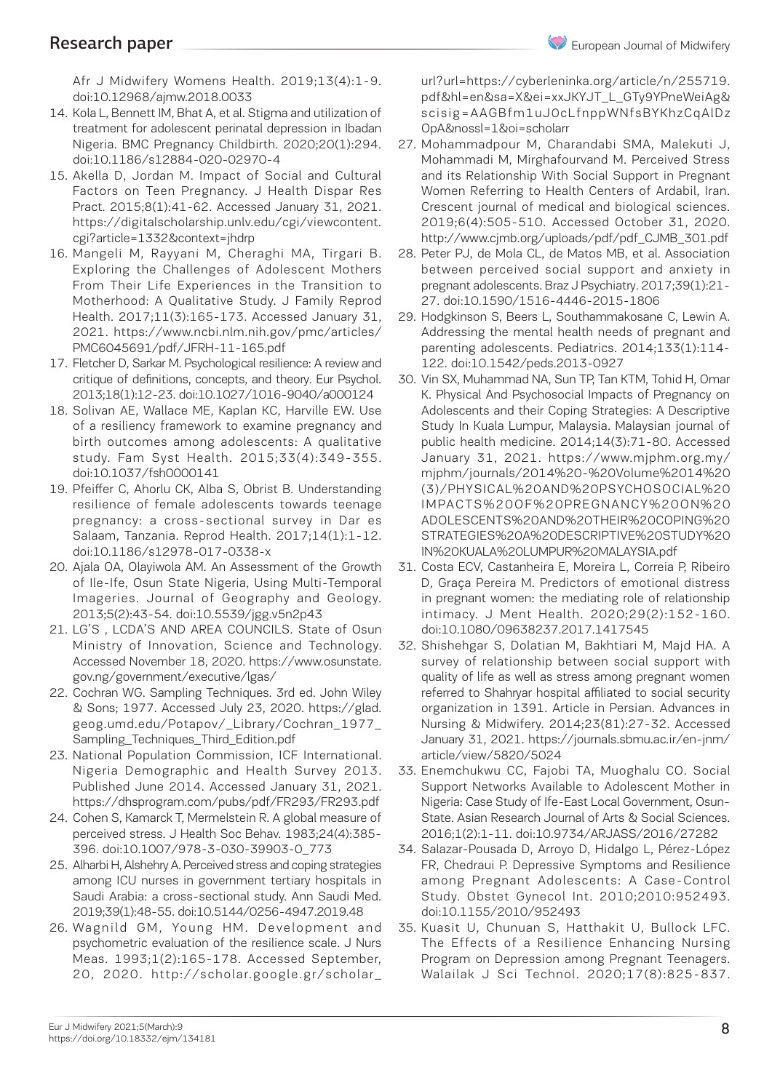Afr J Midwifery Womens Health. 2019;13(4):1-9. doi:10.12968/ajmw.2018.0033

- 14. Kola L, Bennett IM, Bhat A, et al. Stigma and utilization of treatment for adolescent perinatal depression in Ibadan Nigeria. BMC Pregnancy Childbirth. 2020;20(1):294. doi:10.1186/s12884-020-02970-4
- 15. Akella D, Jordan M. Impact of Social and Cultural Factors on Teen Pregnancy. J Health Dispar Res Pract. 2015;8(1):41-62. Accessed January 31, 2021. https://digitalscholarship.unlv.edu/cgi/viewcontent. cgi?article=1332&context=jhdrp
- 16. Mangeli M, Rayyani M, Cheraghi MA, Tirgari B. Exploring the Challenges of Adolescent Mothers From Their Life Experiences in the Transition to Motherhood: A Qualitative Study. J Family Reprod Health. 2017;11(3):165-173. Accessed January 31, 2021. https://www.ncbi.nlm.nih.gov/pmc/articles/ PMC6045691/pdf/JFRH-11-165.pdf
- 17. Fletcher D, Sarkar M. Psychological resilience: A review and critique of definitions, concepts, and theory. Eur Psychol. 2013;18(1):12-23. doi:10.1027/1016-9040/a000124
- 18. Solivan AE, Wallace ME, Kaplan KC, Harville EW. Use of a resiliency framework to examine pregnancy and birth outcomes among adolescents: A qualitative study. Fam Syst Health. 2015;33(4):349-355. doi:10.1037/fsh0000141
- 19. Pfeiffer C, Ahorlu CK, Alba S, Obrist B. Understanding resilience of female adolescents towards teenage pregnancy: a cross-sectional survey in Dar es Salaam, Tanzania. Reprod Health. 2017;14(1):1-12. doi:10.1186/s12978-017-0338-x
- 20. Ajala OA, Olayiwola AM. An Assessment of the Growth of Ile-Ife, Osun State Nigeria, Using Multi-Temporal Imageries. Journal of Geography and Geology. 2013;5(2):43-54. doi:10.5539/jgg.v5n2p43
- 21. LG'S , LCDA'S AND AREA COUNCILS. State of Osun Ministry of Innovation, Science and Technology. Accessed November 18, 2020. https://www.osunstate. gov.ng/government/executive/lgas/
- 22. Cochran WG. Sampling Techniques. 3rd ed. John Wiley & Sons; 1977. Accessed July 23, 2020. https://glad. geog.umd.edu/Potapov/\_Library/Cochran\_1977\_ Sampling\_Techniques\_Third\_Edition.pdf
- 23. National Population Commission, ICF International. Nigeria Demographic and Health Survey 2013. Published June 2014. Accessed January 31, 2021. https://dhsprogram.com/pubs/pdf/FR293/FR293.pdf
- 24. Cohen S, Kamarck T, Mermelstein R. A global measure of perceived stress. J Health Soc Behav. 1983;24(4):385- 396. doi:10.1007/978-3-030-39903-0\_773
- 25. Alharbi H, Alshehry A. Perceived stress and coping strategies among ICU nurses in government tertiary hospitals in Saudi Arabia: a cross-sectional study. Ann Saudi Med. 2019;39(1):48-55. doi:10.5144/0256-4947.2019.48
- 26. Wagnild GM, Young HM. Development and psychometric evaluation of the resilience scale. J Nurs Meas. 1993;1(2):165-178. Accessed September, 20, 2020. http://scholar.google.gr/scholar\_

url?url=https://cyberleninka.org/article/n/255719. pdf&hl=en&sa=X&ei=xxJKYJT\_L\_GTy9YPneWeiAg& scisig=AAGBfm1uJ0cLfnppWNfsBYKhzCqAlDz OpA&nossl=1&oi=scholarr

- 27. Mohammadpour M, Charandabi SMA, Malekuti J, Mohammadi M, Mirghafourvand M. Perceived Stress and its Relationship With Social Support in Pregnant Women Referring to Health Centers of Ardabil, Iran. Crescent journal of medical and biological sciences. 2019;6(4):505-510. Accessed October 31, 2020. http://www.cjmb.org/uploads/pdf/pdf\_CJMB\_301.pdf
- 28. Peter PJ, de Mola CL, de Matos MB, et al. Association between perceived social support and anxiety in pregnant adolescents. Braz J Psychiatry. 2017;39(1):21- 27. doi:10.1590/1516-4446-2015-1806
- 29. Hodgkinson S, Beers L, Southammakosane C, Lewin A. Addressing the mental health needs of pregnant and parenting adolescents. Pediatrics. 2014;133(1):114- 122. doi:10.1542/peds.2013-0927
- 30. Vin SX, Muhammad NA, Sun TP, Tan KTM, Tohid H, Omar K. Physical And Psychosocial Impacts of Pregnancy on Adolescents and their Coping Strategies: A Descriptive Study In Kuala Lumpur, Malaysia. Malaysian journal of public health medicine. 2014;14(3):71-80. Accessed January 31, 2021. https://www.mjphm.org.my/ mjphm/journals/2014%20-%20Volume%2014%20 (3)/PHYSICAL%20AND%20PSYCHOSOCIAL%20 IMPACTS%20OF%20PREGNANCY%20ON%20 ADOLESCENTS%20AND%20THEIR%20COPING%20 STRATEGIES%20A%20DESCRIPTIVE%20STUDY%20 IN%20KUALA%20LUMPUR%20MALAYSIA.pdf
- 31. Costa ECV, Castanheira E, Moreira L, Correia P, Ribeiro D, Graça Pereira M. Predictors of emotional distress in pregnant women: the mediating role of relationship intimacy. J Ment Health. 2020;29(2):152-160. doi:10.1080/09638237.2017.1417545
- 32. Shishehgar S, Dolatian M, Bakhtiari M, Majd HA. A survey of relationship between social support with quality of life as well as stress among pregnant women referred to Shahryar hospital affiliated to social security organization in 1391. Article in Persian. Advances in Nursing & Midwifery. 2014;23(81):27-32. Accessed January 31, 2021. https://journals.sbmu.ac.ir/en-jnm/ article/view/5820/5024
- 33. Enemchukwu CC, Fajobi TA, Muoghalu CO. Social Support Networks Available to Adolescent Mother in Nigeria: Case Study of Ife-East Local Government, Osun-State. Asian Research Journal of Arts & Social Sciences. 2016;1(2):1-11. doi:10.9734/ARJASS/2016/27282
- 34. Salazar-Pousada D, Arroyo D, Hidalgo L, Pérez-López FR, Chedraui P. Depressive Symptoms and Resilience among Pregnant Adolescents: A Case-Control Study. Obstet Gynecol Int. 2010;2010:952493. doi:10.1155/2010/952493
- 35. Kuasit U, Chunuan S, Hatthakit U, Bullock LFC. The Effects of a Resilience Enhancing Nursing Program on Depression among Pregnant Teenagers. Walailak J Sci Technol. 2020;17(8):825-837.